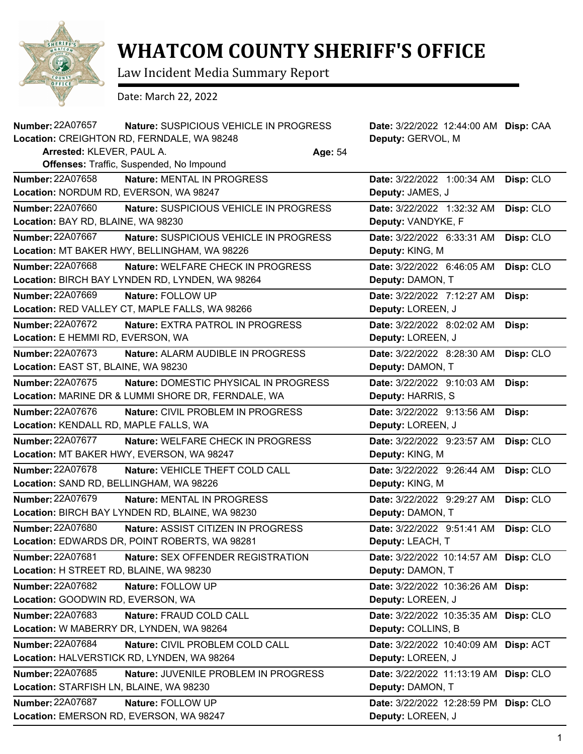

## **WHATCOM COUNTY SHERIFF'S OFFICE**

Law Incident Media Summary Report

Date: March 22, 2022

| Number: 22A07657                        | Nature: SUSPICIOUS VEHICLE IN PROGRESS             |         | Date: 3/22/2022 12:44:00 AM Disp: CAA |           |
|-----------------------------------------|----------------------------------------------------|---------|---------------------------------------|-----------|
|                                         | Location: CREIGHTON RD, FERNDALE, WA 98248         |         | Deputy: GERVOL, M                     |           |
| Arrested: KLEVER, PAUL A.               |                                                    | Age: 54 |                                       |           |
|                                         | Offenses: Traffic, Suspended, No Impound           |         |                                       |           |
| <b>Number: 22A07658</b>                 | Nature: MENTAL IN PROGRESS                         |         | Date: 3/22/2022 1:00:34 AM            | Disp: CLO |
| Location: NORDUM RD, EVERSON, WA 98247  |                                                    |         | Deputy: JAMES, J                      |           |
| Number: 22A07660                        | Nature: SUSPICIOUS VEHICLE IN PROGRESS             |         | Date: 3/22/2022 1:32:32 AM            | Disp: CLO |
| Location: BAY RD, BLAINE, WA 98230      |                                                    |         | Deputy: VANDYKE, F                    |           |
| Number: 22A07667                        | Nature: SUSPICIOUS VEHICLE IN PROGRESS             |         | Date: 3/22/2022 6:33:31 AM            | Disp: CLO |
|                                         | Location: MT BAKER HWY, BELLINGHAM, WA 98226       |         | Deputy: KING, M                       |           |
| Number: 22A07668                        | <b>Nature: WELFARE CHECK IN PROGRESS</b>           |         | Date: 3/22/2022 6:46:05 AM            | Disp: CLO |
|                                         | Location: BIRCH BAY LYNDEN RD, LYNDEN, WA 98264    |         | Deputy: DAMON, T                      |           |
| Number: 22A07669                        | Nature: FOLLOW UP                                  |         | Date: 3/22/2022 7:12:27 AM            | Disp:     |
|                                         | Location: RED VALLEY CT, MAPLE FALLS, WA 98266     |         | Deputy: LOREEN, J                     |           |
| <b>Number: 22A07672</b>                 | Nature: EXTRA PATROL IN PROGRESS                   |         | Date: 3/22/2022 8:02:02 AM            | Disp:     |
| Location: E HEMMI RD, EVERSON, WA       |                                                    |         | Deputy: LOREEN, J                     |           |
| <b>Number: 22A07673</b>                 | Nature: ALARM AUDIBLE IN PROGRESS                  |         | Date: 3/22/2022 8:28:30 AM            | Disp: CLO |
| Location: EAST ST, BLAINE, WA 98230     |                                                    |         | Deputy: DAMON, T                      |           |
| Number: 22A07675                        | Nature: DOMESTIC PHYSICAL IN PROGRESS              |         | Date: 3/22/2022 9:10:03 AM            | Disp:     |
|                                         | Location: MARINE DR & LUMMI SHORE DR, FERNDALE, WA |         | Deputy: HARRIS, S                     |           |
| Number: 22A07676                        | Nature: CIVIL PROBLEM IN PROGRESS                  |         | Date: 3/22/2022 9:13:56 AM            | Disp:     |
| Location: KENDALL RD, MAPLE FALLS, WA   |                                                    |         | Deputy: LOREEN, J                     |           |
| Number: 22A07677                        | Nature: WELFARE CHECK IN PROGRESS                  |         | Date: 3/22/2022 9:23:57 AM            | Disp: CLO |
|                                         | Location: MT BAKER HWY, EVERSON, WA 98247          |         | Deputy: KING, M                       |           |
| Number: 22A07678                        | Nature: VEHICLE THEFT COLD CALL                    |         | Date: 3/22/2022 9:26:44 AM            | Disp: CLO |
| Location: SAND RD, BELLINGHAM, WA 98226 |                                                    |         | Deputy: KING, M                       |           |
| Number: 22A07679                        | <b>Nature: MENTAL IN PROGRESS</b>                  |         | Date: 3/22/2022 9:29:27 AM            | Disp: CLO |
|                                         | Location: BIRCH BAY LYNDEN RD, BLAINE, WA 98230    |         | Deputy: DAMON, T                      |           |
| <b>Number: 22A07680</b>                 | Nature: ASSIST CITIZEN IN PROGRESS                 |         | Date: 3/22/2022 9:51:41 AM            | Disp: CLO |
|                                         | Location: EDWARDS DR, POINT ROBERTS, WA 98281      |         | Deputy: LEACH, T                      |           |
| Number: 22A07681                        | Nature: SEX OFFENDER REGISTRATION                  |         | Date: 3/22/2022 10:14:57 AM Disp: CLO |           |
| Location: H STREET RD, BLAINE, WA 98230 |                                                    |         | Deputy: DAMON, T                      |           |
| Number: 22A07682                        | Nature: FOLLOW UP                                  |         | Date: 3/22/2022 10:36:26 AM Disp:     |           |
| Location: GOODWIN RD, EVERSON, WA       |                                                    |         | Deputy: LOREEN, J                     |           |
| <b>Number: 22A07683</b>                 | Nature: FRAUD COLD CALL                            |         | Date: 3/22/2022 10:35:35 AM Disp: CLO |           |
|                                         | Location: W MABERRY DR, LYNDEN, WA 98264           |         | Deputy: COLLINS, B                    |           |
| Number: 22A07684                        | Nature: CIVIL PROBLEM COLD CALL                    |         | Date: 3/22/2022 10:40:09 AM Disp: ACT |           |
|                                         | Location: HALVERSTICK RD, LYNDEN, WA 98264         |         | Deputy: LOREEN, J                     |           |
| <b>Number: 22A07685</b>                 | Nature: JUVENILE PROBLEM IN PROGRESS               |         | Date: 3/22/2022 11:13:19 AM Disp: CLO |           |
| Location: STARFISH LN, BLAINE, WA 98230 |                                                    |         | Deputy: DAMON, T                      |           |
| Number: 22A07687                        | Nature: FOLLOW UP                                  |         | Date: 3/22/2022 12:28:59 PM Disp: CLO |           |
| Location: EMERSON RD, EVERSON, WA 98247 |                                                    |         | Deputy: LOREEN, J                     |           |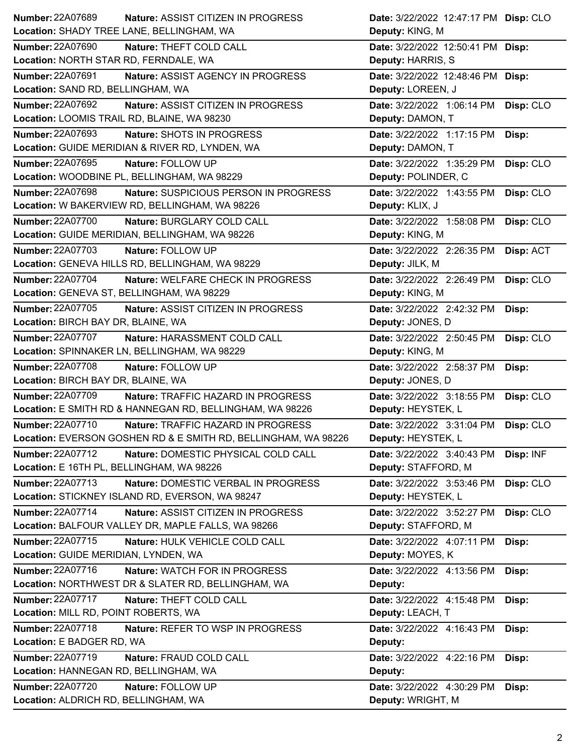| Number: 22A07689                                                | <b>Nature: ASSIST CITIZEN IN PROGRESS</b>                      | Date: 3/22/2022 12:47:17 PM Disp: CLO |                  |
|-----------------------------------------------------------------|----------------------------------------------------------------|---------------------------------------|------------------|
| Location: SHADY TREE LANE, BELLINGHAM, WA                       |                                                                | Deputy: KING, M                       |                  |
| <b>Number: 22A07690</b>                                         | Nature: THEFT COLD CALL                                        | Date: 3/22/2022 12:50:41 PM Disp:     |                  |
| Location: NORTH STAR RD, FERNDALE, WA                           |                                                                | Deputy: HARRIS, S                     |                  |
| Number: 22A07691                                                | Nature: ASSIST AGENCY IN PROGRESS                              | Date: 3/22/2022 12:48:46 PM Disp:     |                  |
| Location: SAND RD, BELLINGHAM, WA                               |                                                                | Deputy: LOREEN, J                     |                  |
| <b>Number: 22A07692</b>                                         | Nature: ASSIST CITIZEN IN PROGRESS                             | Date: 3/22/2022 1:06:14 PM            | Disp: CLO        |
| Location: LOOMIS TRAIL RD, BLAINE, WA 98230                     |                                                                | Deputy: DAMON, T                      |                  |
| Number: 22A07693                                                | Nature: SHOTS IN PROGRESS                                      | Date: 3/22/2022 1:17:15 PM            | Disp:            |
|                                                                 | Location: GUIDE MERIDIAN & RIVER RD, LYNDEN, WA                | Deputy: DAMON, T                      |                  |
| Number: 22A07695                                                | Nature: FOLLOW UP                                              | Date: 3/22/2022 1:35:29 PM            | Disp: CLO        |
|                                                                 | Location: WOODBINE PL, BELLINGHAM, WA 98229                    | Deputy: POLINDER, C                   |                  |
| Number: 22A07698                                                | Nature: SUSPICIOUS PERSON IN PROGRESS                          | Date: 3/22/2022 1:43:55 PM            | Disp: CLO        |
|                                                                 | Location: W BAKERVIEW RD, BELLINGHAM, WA 98226                 | Deputy: KLIX, J                       |                  |
| Number: 22A07700                                                | Nature: BURGLARY COLD CALL                                     | Date: 3/22/2022 1:58:08 PM            | Disp: CLO        |
|                                                                 | Location: GUIDE MERIDIAN, BELLINGHAM, WA 98226                 | Deputy: KING, M                       |                  |
| <b>Number: 22A07703</b>                                         | Nature: FOLLOW UP                                              | Date: 3/22/2022 2:26:35 PM            | <b>Disp: ACT</b> |
|                                                                 | Location: GENEVA HILLS RD, BELLINGHAM, WA 98229                | Deputy: JILK, M                       |                  |
| Number: 22A07704                                                | Nature: WELFARE CHECK IN PROGRESS                              | Date: 3/22/2022 2:26:49 PM            | Disp: CLO        |
| Location: GENEVA ST, BELLINGHAM, WA 98229                       |                                                                | Deputy: KING, M                       |                  |
| <b>Number: 22A07705</b>                                         | Nature: ASSIST CITIZEN IN PROGRESS                             | Date: 3/22/2022 2:42:32 PM            | Disp:            |
| Location: BIRCH BAY DR, BLAINE, WA                              |                                                                | Deputy: JONES, D                      |                  |
| Number: 22A07707                                                | Nature: HARASSMENT COLD CALL                                   | Date: 3/22/2022 2:50:45 PM            | Disp: CLO        |
|                                                                 | Location: SPINNAKER LN, BELLINGHAM, WA 98229                   | Deputy: KING, M                       |                  |
|                                                                 |                                                                |                                       |                  |
| <b>Number: 22A07708</b>                                         | Nature: FOLLOW UP                                              | Date: 3/22/2022 2:58:37 PM            | Disp:            |
| Location: BIRCH BAY DR, BLAINE, WA                              |                                                                | Deputy: JONES, D                      |                  |
| Number: 22A07709                                                | Nature: TRAFFIC HAZARD IN PROGRESS                             | Date: 3/22/2022 3:18:55 PM            | Disp: CLO        |
|                                                                 | Location: E SMITH RD & HANNEGAN RD, BELLINGHAM, WA 98226       | Deputy: HEYSTEK, L                    |                  |
| <b>Number: 22A07710</b>                                         | Nature: TRAFFIC HAZARD IN PROGRESS                             | Date: 3/22/2022 3:31:04 PM            | Disp: CLO        |
|                                                                 | Location: EVERSON GOSHEN RD & E SMITH RD, BELLINGHAM, WA 98226 | Deputy: HEYSTEK, L                    |                  |
| <b>Number: 22A07712</b>                                         | Nature: DOMESTIC PHYSICAL COLD CALL                            | Date: 3/22/2022 3:40:43 PM            | Disp: INF        |
| Location: E 16TH PL, BELLINGHAM, WA 98226                       |                                                                | Deputy: STAFFORD, M                   |                  |
| Number: 22A07713                                                | Nature: DOMESTIC VERBAL IN PROGRESS                            | Date: 3/22/2022 3:53:46 PM            | Disp: CLO        |
|                                                                 | Location: STICKNEY ISLAND RD, EVERSON, WA 98247                | Deputy: HEYSTEK, L                    |                  |
| <b>Number: 22A07714</b>                                         | Nature: ASSIST CITIZEN IN PROGRESS                             | Date: 3/22/2022 3:52:27 PM            | Disp: CLO        |
|                                                                 | Location: BALFOUR VALLEY DR, MAPLE FALLS, WA 98266             | Deputy: STAFFORD, M                   |                  |
| <b>Number: 22A07715</b>                                         | Nature: HULK VEHICLE COLD CALL                                 | Date: 3/22/2022 4:07:11 PM            | Disp:            |
| Location: GUIDE MERIDIAN, LYNDEN, WA                            |                                                                | Deputy: MOYES, K                      |                  |
| Number: 22A07716                                                | Nature: WATCH FOR IN PROGRESS                                  | Date: 3/22/2022 4:13:56 PM            | Disp:            |
|                                                                 | Location: NORTHWEST DR & SLATER RD, BELLINGHAM, WA             | Deputy:                               |                  |
| <b>Number: 22A07717</b>                                         | Nature: THEFT COLD CALL                                        | Date: 3/22/2022 4:15:48 PM            | Disp:            |
| Location: MILL RD, POINT ROBERTS, WA                            |                                                                | Deputy: LEACH, T                      |                  |
| Number: 22A07718                                                | Nature: REFER TO WSP IN PROGRESS                               | Date: 3/22/2022 4:16:43 PM            | Disp:            |
| Location: E BADGER RD, WA                                       |                                                                | Deputy:                               |                  |
| <b>Number: 22A07719</b>                                         | Nature: FRAUD COLD CALL                                        | Date: 3/22/2022 4:22:16 PM            | Disp:            |
| Location: HANNEGAN RD, BELLINGHAM, WA                           |                                                                | Deputy:                               |                  |
| <b>Number: 22A07720</b><br>Location: ALDRICH RD, BELLINGHAM, WA | Nature: FOLLOW UP                                              | Date: 3/22/2022 4:30:29 PM            | Disp:            |